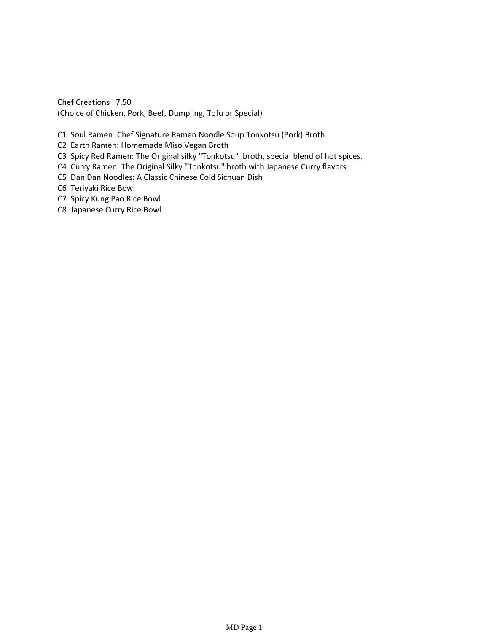Chef Creations 7.50 (Choice of Chicken, Pork, Beef, Dumpling, Tofu or Special)

- C1 Soul Ramen: Chef Signature Ramen Noodle Soup Tonkotsu (Pork) Broth.
- C2 Earth Ramen: Homemade Miso Vegan Broth
- C3 Spicy Red Ramen: The Original silky "Tonkotsu" broth, special blend of hot spices.
- C4 Curry Ramen: The Original Silky "Tonkotsu" broth with Japanese Curry flavors
- C5 Dan Dan Noodles: A Classic Chinese Cold Sichuan Dish
- C6 Teriyaki Rice Bowl
- C7 Spicy Kung Pao Rice Bowl
- C8 Japanese Curry Rice Bowl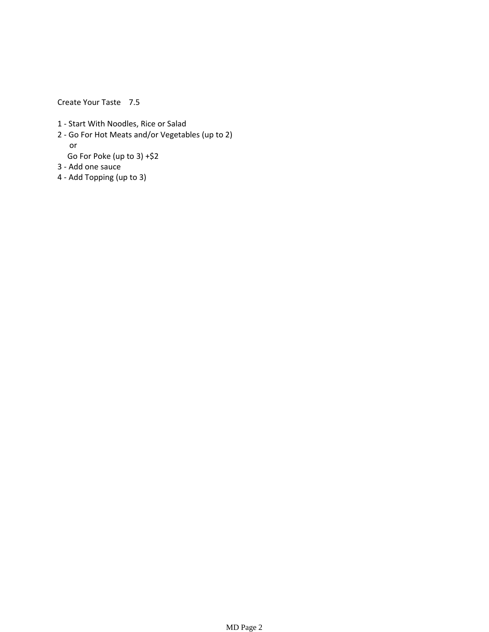Create Your Taste 7.5

- 1 ‐ Start With Noodles, Rice or Salad
- 2 ‐ Go For Hot Meats and/or Vegetables (up to 2) or
- Go For Poke (up to 3) +\$2 3 ‐ Add one sauce
- 4 ‐ Add Topping (up to 3)